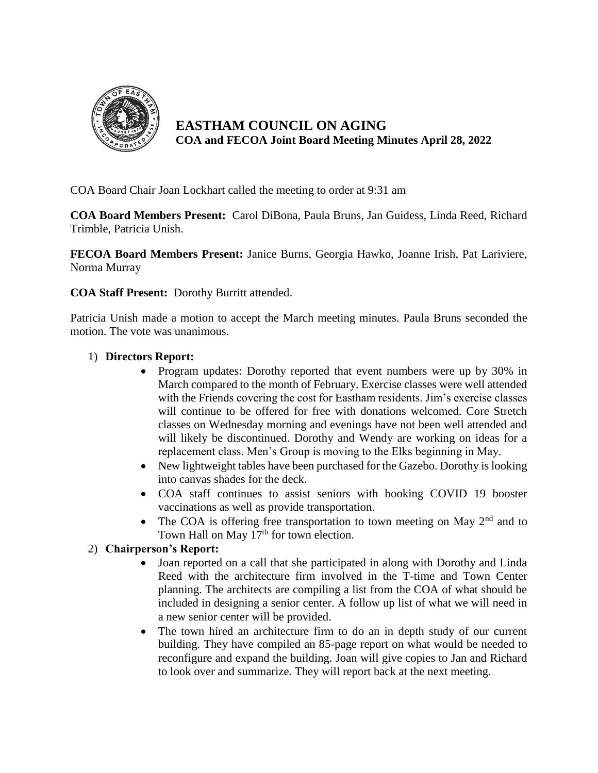

**EASTHAM COUNCIL ON AGING COA and FECOA Joint Board Meeting Minutes April 28, 2022**

COA Board Chair Joan Lockhart called the meeting to order at 9:31 am

**COA Board Members Present:** Carol DiBona, Paula Bruns, Jan Guidess, Linda Reed, Richard Trimble, Patricia Unish.

**FECOA Board Members Present:** Janice Burns, Georgia Hawko, Joanne Irish, Pat Lariviere, Norma Murray

**COA Staff Present:** Dorothy Burritt attended.

Patricia Unish made a motion to accept the March meeting minutes. Paula Bruns seconded the motion. The vote was unanimous.

## 1) **Directors Report:**

- Program updates: Dorothy reported that event numbers were up by 30% in March compared to the month of February. Exercise classes were well attended with the Friends covering the cost for Eastham residents. Jim's exercise classes will continue to be offered for free with donations welcomed. Core Stretch classes on Wednesday morning and evenings have not been well attended and will likely be discontinued. Dorothy and Wendy are working on ideas for a replacement class. Men's Group is moving to the Elks beginning in May.
- New lightweight tables have been purchased for the Gazebo. Dorothy is looking into canvas shades for the deck.
- COA staff continues to assist seniors with booking COVID 19 booster vaccinations as well as provide transportation.
- The COA is offering free transportation to town meeting on May  $2<sup>nd</sup>$  and to Town Hall on May  $17<sup>th</sup>$  for town election.

## 2) **Chairperson's Report:**

- Joan reported on a call that she participated in along with Dorothy and Linda Reed with the architecture firm involved in the T-time and Town Center planning. The architects are compiling a list from the COA of what should be included in designing a senior center. A follow up list of what we will need in a new senior center will be provided.
- The town hired an architecture firm to do an in depth study of our current building. They have compiled an 85-page report on what would be needed to reconfigure and expand the building. Joan will give copies to Jan and Richard to look over and summarize. They will report back at the next meeting.